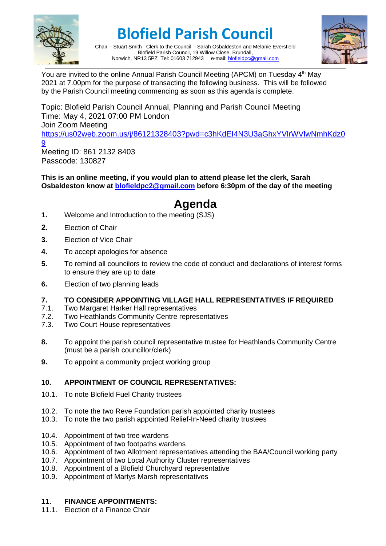

# **Blofield Parish Council**



Chair – Stuart Smith Clerk to the Council – Sarah Osbaldeston and Melanie Eversfield Blofield Parish Council, 19 Willow Close, Brundall, Norwich, NR13 5PZ Tel: 01603 712943 e-mail[: blofieldpc@gmail.com](mailto:blofieldpc@gmail.com)

You are invited to the online Annual Parish Council Meeting (APCM) on Tuesday 4<sup>th</sup> May 2021 at 7.00pm for the purpose of transacting the following business. This will be followed by the Parish Council meeting commencing as soon as this agenda is complete.

Topic: Blofield Parish Council Annual, Planning and Parish Council Meeting Time: May 4, 2021 07:00 PM London Join Zoom Meeting [https://us02web.zoom.us/j/86121328403?pwd=c3hKdEI4N3U3aGhxYVlrWVlwNmhKdz0](https://us02web.zoom.us/j/86121328403?pwd=c3hKdEI4N3U3aGhxYVlrWVlwNmhKdz09) <u>[9](https://us02web.zoom.us/j/86121328403?pwd=c3hKdEI4N3U3aGhxYVlrWVlwNmhKdz09)</u> Meeting ID: 861 2132 8403 Passcode: 130827

**This is an online meeting, if you would plan to attend please let the clerk, Sarah Osbaldeston know at [blofieldpc2@gmail.com](mailto:blofieldpc2@gmail.com) before 6:30pm of the day of the meeting**

## **Agenda**

- **1.** Welcome and Introduction to the meeting (SJS)
- **2.** Election of Chair
- **3.** Election of Vice Chair
- **4.** To accept apologies for absence
- **5.** To remind all councilors to review the code of conduct and declarations of interest forms to ensure they are up to date
- **6.** Election of two planning leads
- **7. TO CONSIDER APPOINTING VILLAGE HALL REPRESENTATIVES IF REQUIRED**
- 7.1. Two Margaret Harker Hall representatives<br>7.2. Two Heathlands Community Centre repres
- Two Heathlands Community Centre representatives
- 7.3. Two Court House representatives
- **8.** To appoint the parish council representative trustee for Heathlands Community Centre (must be a parish councillor/clerk)
- **9.** To appoint a community project working group

#### **10. APPOINTMENT OF COUNCIL REPRESENTATIVES:**

- 10.1. To note Blofield Fuel Charity trustees
- 10.2. To note the two Reve Foundation parish appointed charity trustees
- 10.3. To note the two parish appointed Relief-In-Need charity trustees
- 10.4. Appointment of two tree wardens
- 10.5. Appointment of two footpaths wardens
- 10.6. Appointment of two Allotment representatives attending the BAA/Council working party
- 10.7. Appointment of two Local Authority Cluster representatives
- 10.8. Appointment of a Blofield Churchyard representative
- 10.9. Appointment of Martys Marsh representatives

#### **11. FINANCE APPOINTMENTS:**

11.1. Election of a Finance Chair